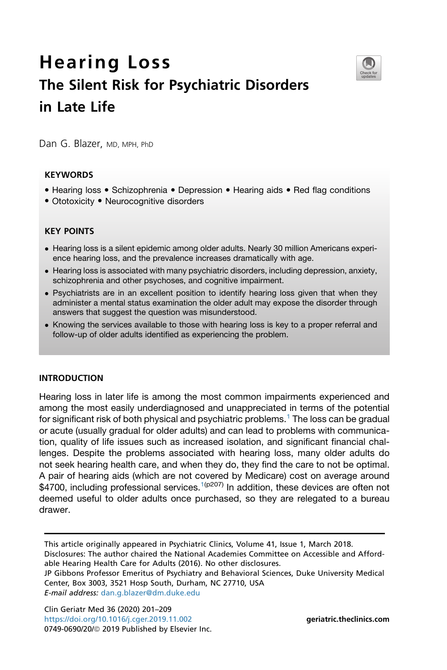# Hearing Loss The Silent Risk for Psychiatric Disorders in Late Life



Dan G. Blazer, MD, MPH, PhD

# **KEYWORDS**

- Hearing loss Schizophrenia Depression Hearing aids Red flag conditions
- Ototoxicity Neurocognitive disorders

### KEY POINTS

- Hearing loss is a silent epidemic among older adults. Nearly 30 million Americans experience hearing loss, and the prevalence increases dramatically with age.
- Hearing loss is associated with many psychiatric disorders, including depression, anxiety, schizophrenia and other psychoses, and cognitive impairment.
- Psychiatrists are in an excellent position to identify hearing loss given that when they administer a mental status examination the older adult may expose the disorder through answers that suggest the question was misunderstood.
- Knowing the services available to those with hearing loss is key to a proper referral and follow-up of older adults identified as experiencing the problem.

### INTRODUCTION

Hearing loss in later life is among the most common impairments experienced and among the most easily underdiagnosed and unappreciated in terms of the potential for significant risk of both physical and psychiatric problems.<sup>[1](#page-6-0)</sup> The loss can be gradual or acute (usually gradual for older adults) and can lead to problems with communication, quality of life issues such as increased isolation, and significant financial challenges. Despite the problems associated with hearing loss, many older adults do not seek hearing health care, and when they do, they find the care to not be optimal. A pair of hearing aids (which are not covered by Medicare) cost on average around \$4700, including professional services.<sup>[1\(](#page-6-0)p207)</sup> In addition, these devices are often not deemed useful to older adults once purchased, so they are relegated to a bureau drawer.

Center, Box 3003, 3521 Hosp South, Durham, NC 27710, USA E-mail address: [dan.g.blazer@dm.duke.edu](mailto:dan.g.blazer@dm.duke.edu)

This article originally appeared in Psychiatric Clinics, Volume 41, Issue 1, March 2018. Disclosures: The author chaired the National Academies Committee on Accessible and Affordable Hearing Health Care for Adults (2016). No other disclosures. JP Gibbons Professor Emeritus of Psychiatry and Behavioral Sciences, Duke University Medical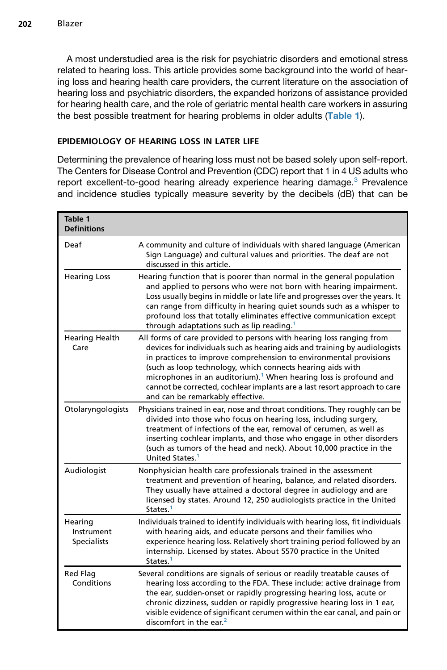A most understudied area is the risk for psychiatric disorders and emotional stress related to hearing loss. This article provides some background into the world of hearing loss and hearing health care providers, the current literature on the association of hearing loss and psychiatric disorders, the expanded horizons of assistance provided for hearing health care, and the role of geriatric mental health care workers in assuring the best possible treatment for hearing problems in older adults ([Table 1](#page-1-0)).

# EPIDEMIOLOGY OF HEARING LOSS IN LATER LIFE

Determining the prevalence of hearing loss must not be based solely upon self-report. The Centers for Disease Control and Prevention (CDC) report that 1 in 4 US adults who report excellent-to-good hearing already experience hearing damage.<sup>[3](#page-6-1)</sup> Prevalence and incidence studies typically measure severity by the decibels (dB) that can be

<span id="page-1-0"></span>

| Table 1<br><b>Definitions</b>               |                                                                                                                                                                                                                                                                                                                                                                                                                                                                                        |
|---------------------------------------------|----------------------------------------------------------------------------------------------------------------------------------------------------------------------------------------------------------------------------------------------------------------------------------------------------------------------------------------------------------------------------------------------------------------------------------------------------------------------------------------|
| Deaf                                        | A community and culture of individuals with shared language (American<br>Sign Language) and cultural values and priorities. The deaf are not<br>discussed in this article.                                                                                                                                                                                                                                                                                                             |
| <b>Hearing Loss</b>                         | Hearing function that is poorer than normal in the general population<br>and applied to persons who were not born with hearing impairment.<br>Loss usually begins in middle or late life and progresses over the years. It<br>can range from difficulty in hearing quiet sounds such as a whisper to<br>profound loss that totally eliminates effective communication except<br>through adaptations such as lip reading. <sup>1</sup>                                                  |
| <b>Hearing Health</b><br>Care               | All forms of care provided to persons with hearing loss ranging from<br>devices for individuals such as hearing aids and training by audiologists<br>in practices to improve comprehension to environmental provisions<br>(such as loop technology, which connects hearing aids with<br>microphones in an auditorium). <sup>1</sup> When hearing loss is profound and<br>cannot be corrected, cochlear implants are a last resort approach to care<br>and can be remarkably effective. |
| Otolaryngologists                           | Physicians trained in ear, nose and throat conditions. They roughly can be<br>divided into those who focus on hearing loss, including surgery,<br>treatment of infections of the ear, removal of cerumen, as well as<br>inserting cochlear implants, and those who engage in other disorders<br>(such as tumors of the head and neck). About 10,000 practice in the<br>United States. <sup>1</sup>                                                                                     |
| Audiologist                                 | Nonphysician health care professionals trained in the assessment<br>treatment and prevention of hearing, balance, and related disorders.<br>They usually have attained a doctoral degree in audiology and are<br>licensed by states. Around 12, 250 audiologists practice in the United<br>States. <sup>1</sup>                                                                                                                                                                        |
| Hearing<br>Instrument<br><b>Specialists</b> | Individuals trained to identify individuals with hearing loss, fit individuals<br>with hearing aids, and educate persons and their families who<br>experience hearing loss. Relatively short training period followed by an<br>internship. Licensed by states. About 5570 practice in the United<br>States. <sup>1</sup>                                                                                                                                                               |
| Red Flag<br>Conditions                      | Several conditions are signals of serious or readily treatable causes of<br>hearing loss according to the FDA. These include: active drainage from<br>the ear, sudden-onset or rapidly progressing hearing loss, acute or<br>chronic dizziness, sudden or rapidly progressive hearing loss in 1 ear,<br>visible evidence of significant cerumen within the ear canal, and pain or<br>discomfort in the ear. $2$                                                                        |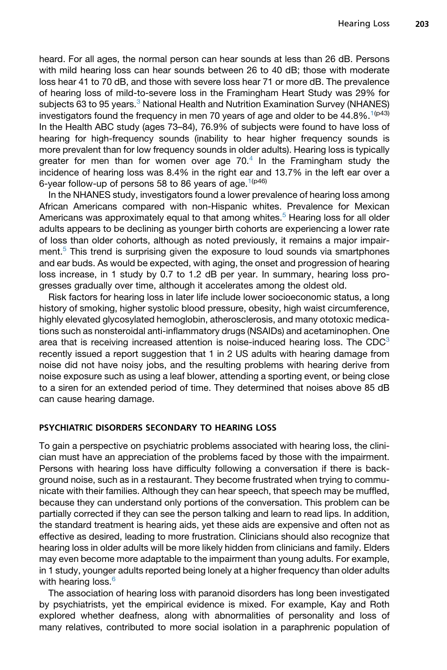heard. For all ages, the normal person can hear sounds at less than 26 dB. Persons with mild hearing loss can hear sounds between 26 to 40 dB; those with moderate loss hear 41 to 70 dB, and those with severe loss hear 71 or more dB. The prevalence of hearing loss of mild-to-severe loss in the Framingham Heart Study was 29% for subjects 6[3](#page-6-1) to 95 years.<sup>3</sup> National Health and Nutrition Examination Survey (NHANES) investigators found the frequency in men 70 years of age and older to be  $44.8\%$ . <sup>[1\(](#page-6-0)p43)</sup> In the Health ABC study (ages 73–84), 76.9% of subjects were found to have loss of hearing for high-frequency sounds (inability to hear higher frequency sounds is more prevalent than for low frequency sounds in older adults). Hearing loss is typically greater for men than for women over age  $70<sup>4</sup>$  $70<sup>4</sup>$  $70<sup>4</sup>$  In the Framingham study the incidence of hearing loss was 8.4% in the right ear and 13.7% in the left ear over a 6-year follow-up of persons 58 to 86 years of age.  $1(p46)$  $1(p46)$ 

In the NHANES study, investigators found a lower prevalence of hearing loss among African Americans compared with non-Hispanic whites. Prevalence for Mexican Americans was approximately equal to that among whites.<sup>[5](#page-6-4)</sup> Hearing loss for all older adults appears to be declining as younger birth cohorts are experiencing a lower rate of loss than older cohorts, although as noted previously, it remains a major impair-ment.<sup>[5](#page-6-4)</sup> This trend is surprising given the exposure to loud sounds via smartphones and ear buds. As would be expected, with aging, the onset and progression of hearing loss increase, in 1 study by 0.7 to 1.2 dB per year. In summary, hearing loss progresses gradually over time, although it accelerates among the oldest old.

Risk factors for hearing loss in later life include lower socioeconomic status, a long history of smoking, higher systolic blood pressure, obesity, high waist circumference, highly elevated glycosylated hemoglobin, atherosclerosis, and many ototoxic medications such as nonsteroidal anti-inflammatory drugs (NSAIDs) and acetaminophen. One area that is receiving increased attention is noise-induced hearing loss. The  $CDC<sup>3</sup>$  $CDC<sup>3</sup>$  $CDC<sup>3</sup>$ recently issued a report suggestion that 1 in 2 US adults with hearing damage from noise did not have noisy jobs, and the resulting problems with hearing derive from noise exposure such as using a leaf blower, attending a sporting event, or being close to a siren for an extended period of time. They determined that noises above 85 dB can cause hearing damage.

## PSYCHIATRIC DISORDERS SECONDARY TO HEARING LOSS

To gain a perspective on psychiatric problems associated with hearing loss, the clinician must have an appreciation of the problems faced by those with the impairment. Persons with hearing loss have difficulty following a conversation if there is background noise, such as in a restaurant. They become frustrated when trying to communicate with their families. Although they can hear speech, that speech may be muffled, because they can understand only portions of the conversation. This problem can be partially corrected if they can see the person talking and learn to read lips. In addition, the standard treatment is hearing aids, yet these aids are expensive and often not as effective as desired, leading to more frustration. Clinicians should also recognize that hearing loss in older adults will be more likely hidden from clinicians and family. Elders may even become more adaptable to the impairment than young adults. For example, in 1 study, younger adults reported being lonely at a higher frequency than older adults with hearing loss.<sup>[6](#page-6-5)</sup>

The association of hearing loss with paranoid disorders has long been investigated by psychiatrists, yet the empirical evidence is mixed. For example, Kay and Roth explored whether deafness, along with abnormalities of personality and loss of many relatives, contributed to more social isolation in a paraphrenic population of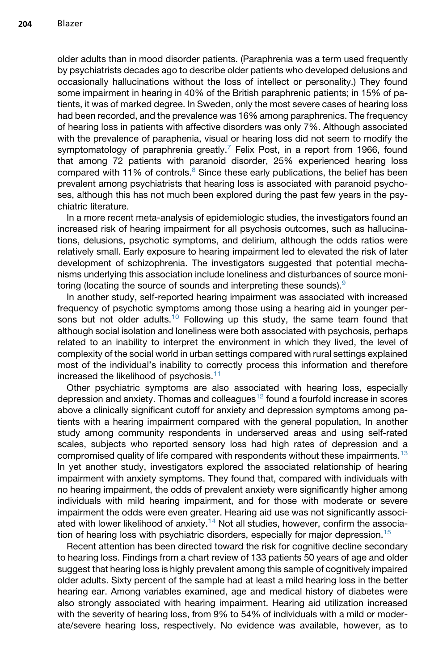older adults than in mood disorder patients. (Paraphrenia was a term used frequently by psychiatrists decades ago to describe older patients who developed delusions and occasionally hallucinations without the loss of intellect or personality.) They found some impairment in hearing in 40% of the British paraphrenic patients; in 15% of patients, it was of marked degree. In Sweden, only the most severe cases of hearing loss had been recorded, and the prevalence was 16% among paraphrenics. The frequency of hearing loss in patients with affective disorders was only 7%. Although associated with the prevalence of paraphenia, visual or hearing loss did not seem to modify the symptomatology of paraphrenia greatly.<sup>[7](#page-7-0)</sup> Felix Post, in a report from 1966, found that among 72 patients with paranoid disorder, 25% experienced hearing loss compared with 11% of controls.<sup>[8](#page-7-1)</sup> Since these early publications, the belief has been prevalent among psychiatrists that hearing loss is associated with paranoid psychoses, although this has not much been explored during the past few years in the psychiatric literature.

In a more recent meta-analysis of epidemiologic studies, the investigators found an increased risk of hearing impairment for all psychosis outcomes, such as hallucinations, delusions, psychotic symptoms, and delirium, although the odds ratios were relatively small. Early exposure to hearing impairment led to elevated the risk of later development of schizophrenia. The investigators suggested that potential mechanisms underlying this association include loneliness and disturbances of source moni-toring (locating the source of sounds and interpreting these sounds).<sup>[9](#page-7-2)</sup>

In another study, self-reported hearing impairment was associated with increased frequency of psychotic symptoms among those using a hearing aid in younger per-sons but not older adults.<sup>[10](#page-7-3)</sup> Following up this study, the same team found that although social isolation and loneliness were both associated with psychosis, perhaps related to an inability to interpret the environment in which they lived, the level of complexity of the social world in urban settings compared with rural settings explained most of the individual's inability to correctly process this information and therefore increased the likelihood of psychosis.<sup>11</sup>

Other psychiatric symptoms are also associated with hearing loss, especially depression and anxiety. Thomas and colleagues $12$  found a fourfold increase in scores above a clinically significant cutoff for anxiety and depression symptoms among patients with a hearing impairment compared with the general population, In another study among community respondents in underserved areas and using self-rated scales, subjects who reported sensory loss had high rates of depression and a compromised quality of life compared with respondents without these impairments.<sup>[13](#page-7-6)</sup> In yet another study, investigators explored the associated relationship of hearing impairment with anxiety symptoms. They found that, compared with individuals with no hearing impairment, the odds of prevalent anxiety were significantly higher among individuals with mild hearing impairment, and for those with moderate or severe impairment the odds were even greater. Hearing aid use was not significantly associ-ated with lower likelihood of anxiety.<sup>[14](#page-7-7)</sup> Not all studies, however, confirm the associa-tion of hearing loss with psychiatric disorders, especially for major depression.<sup>[15](#page-7-8)</sup>

Recent attention has been directed toward the risk for cognitive decline secondary to hearing loss. Findings from a chart review of 133 patients 50 years of age and older suggest that hearing loss is highly prevalent among this sample of cognitively impaired older adults. Sixty percent of the sample had at least a mild hearing loss in the better hearing ear. Among variables examined, age and medical history of diabetes were also strongly associated with hearing impairment. Hearing aid utilization increased with the severity of hearing loss, from 9% to 54% of individuals with a mild or moderate/severe hearing loss, respectively. No evidence was available, however, as to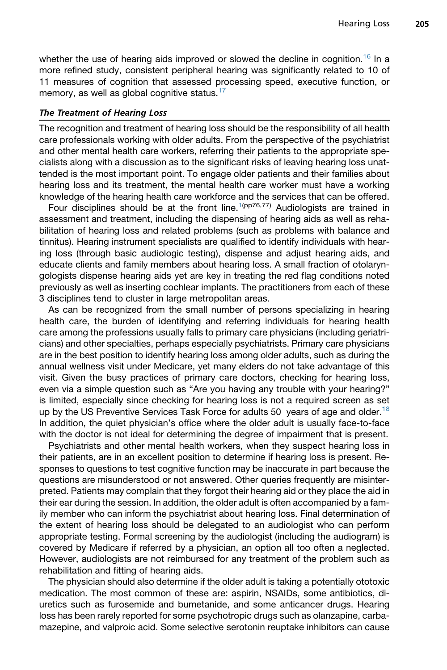whether the use of hearing aids improved or slowed the decline in cognition.<sup>[16](#page-7-9)</sup> In a more refined study, consistent peripheral hearing was significantly related to 10 of 11 measures of cognition that assessed processing speed, executive function, or memory, as well as global cognitive status.<sup>[17](#page-7-10)</sup>

# <u>The Treatment of Hearing Los</u>

The recognition and treatment of hearing loss should be the responsibility of all health care professionals working with older adults. From the perspective of the psychiatrist and other mental health care workers, referring their patients to the appropriate specialists along with a discussion as to the significant risks of leaving hearing loss unattended is the most important point. To engage older patients and their families about hearing loss and its treatment, the mental health care worker must have a working knowledge of the hearing health care workforce and the services that can be offered.

Four disciplines should be at the front line.<sup>1(pp76,77)</sup> Audiologists are trained in assessment and treatment, including the dispensing of hearing aids as well as rehabilitation of hearing loss and related problems (such as problems with balance and tinnitus). Hearing instrument specialists are qualified to identify individuals with hearing loss (through basic audiologic testing), dispense and adjust hearing aids, and educate clients and family members about hearing loss. A small fraction of otolaryngologists dispense hearing aids yet are key in treating the red flag conditions noted previously as well as inserting cochlear implants. The practitioners from each of these 3 disciplines tend to cluster in large metropolitan areas.

As can be recognized from the small number of persons specializing in hearing health care, the burden of identifying and referring individuals for hearing health care among the professions usually falls to primary care physicians (including geriatricians) and other specialties, perhaps especially psychiatrists. Primary care physicians are in the best position to identify hearing loss among older adults, such as during the annual wellness visit under Medicare, yet many elders do not take advantage of this visit. Given the busy practices of primary care doctors, checking for hearing loss, even via a simple question such as "Are you having any trouble with your hearing?" is limited, especially since checking for hearing loss is not a required screen as set up by the US Preventive Services Task Force for adults 50 years of age and older.<sup>18</sup> In addition, the quiet physician's office where the older adult is usually face-to-face with the doctor is not ideal for determining the degree of impairment that is present.

Psychiatrists and other mental health workers, when they suspect hearing loss in their patients, are in an excellent position to determine if hearing loss is present. Responses to questions to test cognitive function may be inaccurate in part because the questions are misunderstood or not answered. Other queries frequently are misinterpreted. Patients may complain that they forgot their hearing aid or they place the aid in their ear during the session. In addition, the older adult is often accompanied by a family member who can inform the psychiatrist about hearing loss. Final determination of the extent of hearing loss should be delegated to an audiologist who can perform appropriate testing. Formal screening by the audiologist (including the audiogram) is covered by Medicare if referred by a physician, an option all too often a neglected. However, audiologists are not reimbursed for any treatment of the problem such as rehabilitation and fitting of hearing aids.

The physician should also determine if the older adult is taking a potentially ototoxic medication. The most common of these are: aspirin, NSAIDs, some antibiotics, diuretics such as furosemide and bumetanide, and some anticancer drugs. Hearing loss has been rarely reported for some psychotropic drugs such as olanzapine, carbamazepine, and valproic acid. Some selective serotonin reuptake inhibitors can cause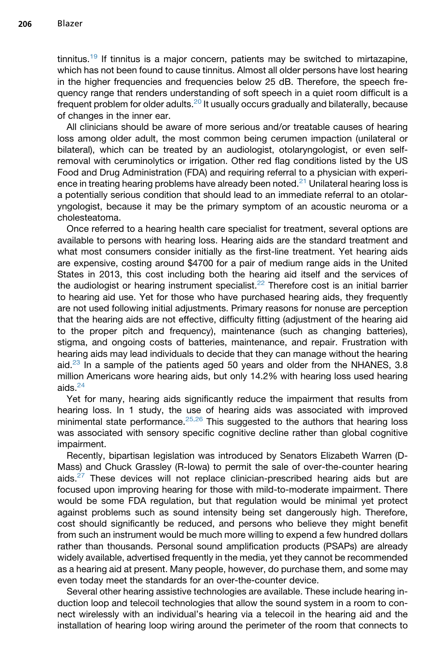tinnitus.<sup>[19](#page-7-12)</sup> If tinnitus is a major concern, patients may be switched to mirtazapine, which has not been found to cause tinnitus. Almost all older persons have lost hearing in the higher frequencies and frequencies below 25 dB. Therefore, the speech frequency range that renders understanding of soft speech in a quiet room difficult is a frequent problem for older adults. $20$  It usually occurs gradually and bilaterally, because of changes in the inner ear.

All clinicians should be aware of more serious and/or treatable causes of hearing loss among older adult, the most common being cerumen impaction (unilateral or bilateral), which can be treated by an audiologist, otolaryngologist, or even selfremoval with ceruminolytics or irrigation. Other red flag conditions listed by the US Food and Drug Administration (FDA) and requiring referral to a physician with experience in treating hearing problems have already been noted. $21$  Unilateral hearing loss is a potentially serious condition that should lead to an immediate referral to an otolaryngologist, because it may be the primary symptom of an acoustic neuroma or a cholesteatoma.

Once referred to a hearing health care specialist for treatment, several options are available to persons with hearing loss. Hearing aids are the standard treatment and what most consumers consider initially as the first-line treatment. Yet hearing aids are expensive, costing around \$4700 for a pair of medium range aids in the United States in 2013, this cost including both the hearing aid itself and the services of the audiologist or hearing instrument specialist.<sup>[22](#page-7-15)</sup> Therefore cost is an initial barrier to hearing aid use. Yet for those who have purchased hearing aids, they frequently are not used following initial adjustments. Primary reasons for nonuse are perception that the hearing aids are not effective, difficulty fitting (adjustment of the hearing aid to the proper pitch and frequency), maintenance (such as changing batteries), stigma, and ongoing costs of batteries, maintenance, and repair. Frustration with hearing aids may lead individuals to decide that they can manage without the hearing aid. $^{23}$  $^{23}$  $^{23}$  In a sample of the patients aged 50 years and older from the NHANES, 3.8 million Americans wore hearing aids, but only 14.2% with hearing loss used hearing aids $^{24}$  $^{24}$  $^{24}$ 

Yet for many, hearing aids significantly reduce the impairment that results from hearing loss. In 1 study, the use of hearing aids was associated with improved minimental state performance.<sup>[25,26](#page-7-18)</sup> This suggested to the authors that hearing loss was associated with sensory specific cognitive decline rather than global cognitive impairment.

Recently, bipartisan legislation was introduced by Senators Elizabeth Warren (D-Mass) and Chuck Grassley (R-Iowa) to permit the sale of over-the-counter hearing aids.<sup>[27](#page-8-0)</sup> These devices will not replace clinician-prescribed hearing aids but are focused upon improving hearing for those with mild-to-moderate impairment. There would be some FDA regulation, but that regulation would be minimal yet protect against problems such as sound intensity being set dangerously high. Therefore, cost should significantly be reduced, and persons who believe they might benefit from such an instrument would be much more willing to expend a few hundred dollars rather than thousands. Personal sound amplification products (PSAPs) are already widely available, advertised frequently in the media, yet they cannot be recommended as a hearing aid at present. Many people, however, do purchase them, and some may even today meet the standards for an over-the-counter device.

Several other hearing assistive technologies are available. These include hearing induction loop and telecoil technologies that allow the sound system in a room to connect wirelessly with an individual's hearing via a telecoil in the hearing aid and the installation of hearing loop wiring around the perimeter of the room that connects to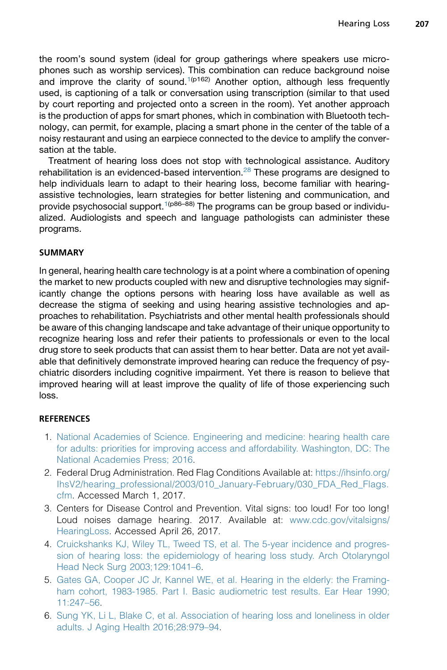the room's sound system (ideal for group gatherings where speakers use microphones such as worship services). This combination can reduce background noise and improve the clarity of sound.<sup>[1\(](#page-6-0)p162)</sup> Another option, although less frequently used, is captioning of a talk or conversation using transcription (similar to that used by court reporting and projected onto a screen in the room). Yet another approach is the production of apps for smart phones, which in combination with Bluetooth technology, can permit, for example, placing a smart phone in the center of the table of a noisy restaurant and using an earpiece connected to the device to amplify the conversation at the table.

Treatment of hearing loss does not stop with technological assistance. Auditory rehabilitation is an evidenced-based intervention.<sup>[28](#page-8-1)</sup> These programs are designed to help individuals learn to adapt to their hearing loss, become familiar with hearingassistive technologies, learn strategies for better listening and communication, and provide psychosocial support.<sup>[1](#page-6-0)(p86–88)</sup> The programs can be group based or individualized. Audiologists and speech and language pathologists can administer these programs.

# SUMMARY

In general, hearing health care technology is at a point where a combination of opening the market to new products coupled with new and disruptive technologies may significantly change the options persons with hearing loss have available as well as decrease the stigma of seeking and using hearing assistive technologies and approaches to rehabilitation. Psychiatrists and other mental health professionals should be aware of this changing landscape and take advantage of their unique opportunity to recognize hearing loss and refer their patients to professionals or even to the local drug store to seek products that can assist them to hear better. Data are not yet available that definitively demonstrate improved hearing can reduce the frequency of psychiatric disorders including cognitive impairment. Yet there is reason to believe that improved hearing will at least improve the quality of life of those experiencing such loss.

# **REFERENCES**

- <span id="page-6-0"></span>1. [National Academies of Science. Engineering and medicine: hearing health care](http://refhub.elsevier.com/S0749-0690(19)30104-1/sref1) [for adults: priorities for improving access and affordability. Washington, DC: The](http://refhub.elsevier.com/S0749-0690(19)30104-1/sref1) [National Academies Press; 2016](http://refhub.elsevier.com/S0749-0690(19)30104-1/sref1).
- <span id="page-6-2"></span>2. Federal Drug Administration. Red Flag Conditions Available at: [https://ihsinfo.org/](https://ihsinfo.org/IhsV2/hearing_professional/2003/010_January-February/030_FDA_Red_Flags.cfm) [IhsV2/hearing\\_professional/2003/010\\_January-February/030\\_FDA\\_Red\\_Flags.](https://ihsinfo.org/IhsV2/hearing_professional/2003/010_January-February/030_FDA_Red_Flags.cfm) [cfm.](https://ihsinfo.org/IhsV2/hearing_professional/2003/010_January-February/030_FDA_Red_Flags.cfm) Accessed March 1, 2017.
- <span id="page-6-1"></span>3. Centers for Disease Control and Prevention. Vital signs: too loud! For too long! Loud noises damage hearing. 2017. Available at: [www.cdc.gov/vitalsigns/](http://www.cdc.gov/vitalsigns/HearingLoss) [HearingLoss](http://www.cdc.gov/vitalsigns/HearingLoss). Accessed April 26, 2017.
- <span id="page-6-3"></span>4. [Cruickshanks KJ, Wiley TL, Tweed TS, et al. The 5-year incidence and progres](http://refhub.elsevier.com/S0749-0690(19)30104-1/sref4)[sion of hearing loss: the epidemiology of hearing loss study. Arch Otolaryngol](http://refhub.elsevier.com/S0749-0690(19)30104-1/sref4) [Head Neck Surg 2003;129:1041–6](http://refhub.elsevier.com/S0749-0690(19)30104-1/sref4).
- <span id="page-6-4"></span>5. [Gates GA, Cooper JC Jr, Kannel WE, et al. Hearing in the elderly: the Framing](http://refhub.elsevier.com/S0749-0690(19)30104-1/sref5)[ham cohort, 1983-1985. Part I. Basic audiometric test results. Ear Hear 1990;](http://refhub.elsevier.com/S0749-0690(19)30104-1/sref5) [11:247–56](http://refhub.elsevier.com/S0749-0690(19)30104-1/sref5).
- <span id="page-6-5"></span>6. [Sung YK, Li L, Blake C, et al. Association of hearing loss and loneliness in older](http://refhub.elsevier.com/S0749-0690(19)30104-1/sref6) [adults. J Aging Health 2016;28:979–94.](http://refhub.elsevier.com/S0749-0690(19)30104-1/sref6)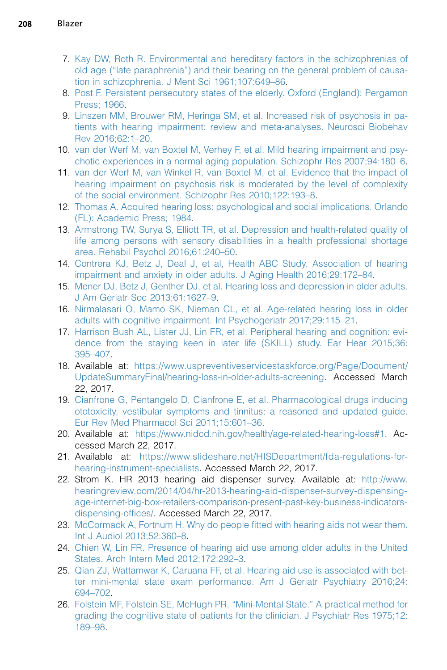- <span id="page-7-0"></span>7. [Kay DW, Roth R. Environmental and hereditary factors in the schizophrenias of](http://refhub.elsevier.com/S0749-0690(19)30104-1/sref7) [old age \("late paraphrenia"\) and their bearing on the general problem of causa](http://refhub.elsevier.com/S0749-0690(19)30104-1/sref7)[tion in schizophrenia. J Ment Sci 1961;107:649–86.](http://refhub.elsevier.com/S0749-0690(19)30104-1/sref7)
- <span id="page-7-1"></span>8. [Post F. Persistent persecutory states of the elderly. Oxford \(England\): Pergamon](http://refhub.elsevier.com/S0749-0690(19)30104-1/sref8) [Press; 1966.](http://refhub.elsevier.com/S0749-0690(19)30104-1/sref8)
- <span id="page-7-2"></span>9. [Linszen MM, Brouwer RM, Heringa SM, et al. Increased risk of psychosis in pa](http://refhub.elsevier.com/S0749-0690(19)30104-1/sref9)[tients with hearing impairment: review and meta-analyses. Neurosci Biobehav](http://refhub.elsevier.com/S0749-0690(19)30104-1/sref9) [Rev 2016;62:1–20.](http://refhub.elsevier.com/S0749-0690(19)30104-1/sref9)
- <span id="page-7-3"></span>10. [van der Werf M, van Boxtel M, Verhey F, et al. Mild hearing impairment and psy](http://refhub.elsevier.com/S0749-0690(19)30104-1/sref10)[chotic experiences in a normal aging population. Schizophr Res 2007;94:180–6.](http://refhub.elsevier.com/S0749-0690(19)30104-1/sref10)
- <span id="page-7-4"></span>11. [van der Werf M, van Winkel R, van Boxtel M, et al. Evidence that the impact of](http://refhub.elsevier.com/S0749-0690(19)30104-1/sref11) [hearing impairment on psychosis risk is moderated by the level of complexity](http://refhub.elsevier.com/S0749-0690(19)30104-1/sref11) [of the social environment. Schizophr Res 2010;122:193–8.](http://refhub.elsevier.com/S0749-0690(19)30104-1/sref11)
- <span id="page-7-5"></span>12. [Thomas A. Acquired hearing loss: psychological and social implications. Orlando](http://refhub.elsevier.com/S0749-0690(19)30104-1/sref12) [\(FL\): Academic Press; 1984](http://refhub.elsevier.com/S0749-0690(19)30104-1/sref12).
- <span id="page-7-6"></span>13. [Armstrong TW, Surya S, Elliott TR, et al. Depression and health-related quality of](http://refhub.elsevier.com/S0749-0690(19)30104-1/sref13) [life among persons with sensory disabilities in a health professional shortage](http://refhub.elsevier.com/S0749-0690(19)30104-1/sref13) [area. Rehabil Psychol 2016;61:240–50](http://refhub.elsevier.com/S0749-0690(19)30104-1/sref13).
- <span id="page-7-7"></span>14. [Contrera KJ, Betz J, Deal J, et al, Health ABC Study. Association of hearing](http://refhub.elsevier.com/S0749-0690(19)30104-1/sref14) [impairment and anxiety in older adults. J Aging Health 2016;29:172–84](http://refhub.elsevier.com/S0749-0690(19)30104-1/sref14).
- <span id="page-7-8"></span>15. [Mener DJ, Betz J, Genther DJ, et al. Hearing loss and depression in older adults.](http://refhub.elsevier.com/S0749-0690(19)30104-1/sref15) [J Am Geriatr Soc 2013;61:1627–9.](http://refhub.elsevier.com/S0749-0690(19)30104-1/sref15)
- <span id="page-7-9"></span>16. [Nirmalasari O, Mamo SK, Nieman CL, et al. Age-related hearing loss in older](http://refhub.elsevier.com/S0749-0690(19)30104-1/sref16) [adults with cognitive impairment. Int Psychogeriatr 2017;29:115–21](http://refhub.elsevier.com/S0749-0690(19)30104-1/sref16).
- <span id="page-7-10"></span>17. [Harrison Bush AL, Lister JJ, Lin FR, et al. Peripheral hearing and cognition: evi](http://refhub.elsevier.com/S0749-0690(19)30104-1/sref17)[dence from the staying keen in later life \(SKILL\) study. Ear Hear 2015;36:](http://refhub.elsevier.com/S0749-0690(19)30104-1/sref17) [395–407.](http://refhub.elsevier.com/S0749-0690(19)30104-1/sref17)
- <span id="page-7-11"></span>18. Available at: [https://www.uspreventiveservicestaskforce.org/Page/Document/](https://www.uspreventiveservicestaskforce.org/Page/Document/UpdateSummaryFinal/hearing-loss-in-older-adults-screening) [UpdateSummaryFinal/hearing-loss-in-older-adults-screening](https://www.uspreventiveservicestaskforce.org/Page/Document/UpdateSummaryFinal/hearing-loss-in-older-adults-screening). Accessed March 22, 2017.
- <span id="page-7-12"></span>19. [Cianfrone G, Pentangelo D, Cianfrone E, et al. Pharmacological drugs inducing](http://refhub.elsevier.com/S0749-0690(19)30104-1/sref19) [ototoxicity, vestibular symptoms and tinnitus: a reasoned and updated guide.](http://refhub.elsevier.com/S0749-0690(19)30104-1/sref19) [Eur Rev Med Pharmacol Sci 2011;15:601–36](http://refhub.elsevier.com/S0749-0690(19)30104-1/sref19).
- <span id="page-7-13"></span>20. Available at: [https://www.nidcd.nih.gov/health/age-related-hearing-loss#1.](https://www.nidcd.nih.gov/health/age-related-hearing-loss#1) Accessed March 22, 2017.
- <span id="page-7-14"></span>21. Available at: [https://www.slideshare.net/HISDepartment/fda-regulations-for](https://www.slideshare.net/HISDepartment/fda-regulations-for-hearing-instrument-specialists)[hearing-instrument-specialists.](https://www.slideshare.net/HISDepartment/fda-regulations-for-hearing-instrument-specialists) Accessed March 22, 2017.
- <span id="page-7-15"></span>22. Strom K. HR 2013 hearing aid dispenser survey. Available at: [http://www.](http://www.hearingreview.com/2014/04/hr-2013-hearing-aid-dispenser-survey-dispensing-age-internet-big-box-retailers-comparison-present-past-key-business-indicators-dispensing-offices/) [hearingreview.com/2014/04/hr-2013-hearing-aid-dispenser-survey-dispensing](http://www.hearingreview.com/2014/04/hr-2013-hearing-aid-dispenser-survey-dispensing-age-internet-big-box-retailers-comparison-present-past-key-business-indicators-dispensing-offices/)[age-internet-big-box-retailers-comparison-present-past-key-business-indicators](http://www.hearingreview.com/2014/04/hr-2013-hearing-aid-dispenser-survey-dispensing-age-internet-big-box-retailers-comparison-present-past-key-business-indicators-dispensing-offices/)[dispensing-offices/](http://www.hearingreview.com/2014/04/hr-2013-hearing-aid-dispenser-survey-dispensing-age-internet-big-box-retailers-comparison-present-past-key-business-indicators-dispensing-offices/). Accessed March 22, 2017.
- <span id="page-7-16"></span>23. [McCormack A, Fortnum H. Why do people fitted with hearing aids not wear them.](http://refhub.elsevier.com/S0749-0690(19)30104-1/sref23) [Int J Audiol 2013;52:360–8](http://refhub.elsevier.com/S0749-0690(19)30104-1/sref23).
- <span id="page-7-17"></span>24. [Chien W, Lin FR. Presence of hearing aid use among older adults in the United](http://refhub.elsevier.com/S0749-0690(19)30104-1/sref24) [States. Arch Intern Med 2012;172:292–3](http://refhub.elsevier.com/S0749-0690(19)30104-1/sref24).
- <span id="page-7-18"></span>25. [Qian ZJ, Wattamwar K, Caruana FF, et al. Hearing aid use is associated with bet](http://refhub.elsevier.com/S0749-0690(19)30104-1/sref25)[ter mini-mental state exam performance. Am J Geriatr Psychiatry 2016;24:](http://refhub.elsevier.com/S0749-0690(19)30104-1/sref25) [694–702.](http://refhub.elsevier.com/S0749-0690(19)30104-1/sref25)
- 26. [Folstein MF, Folstein SE, McHugh PR. "Mini-Mental State." A practical method for](http://refhub.elsevier.com/S0749-0690(19)30104-1/sref26) [grading the cognitive state of patients for the clinician. J Psychiatr Res 1975;12:](http://refhub.elsevier.com/S0749-0690(19)30104-1/sref26) [189–98.](http://refhub.elsevier.com/S0749-0690(19)30104-1/sref26)